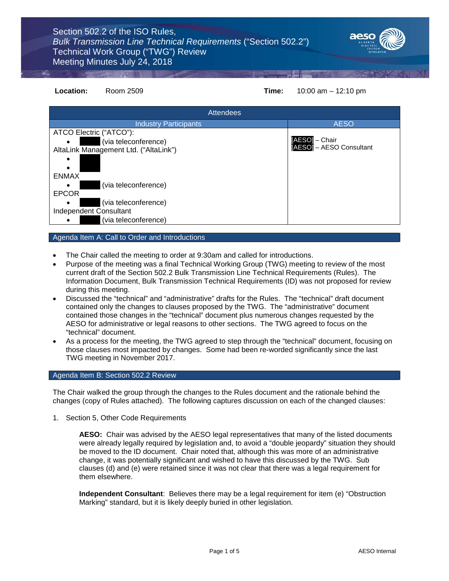

# **Location:** Room 2509 **Time:** 10:00 am – 12:10 pm

| <b>Attendees</b>                      |                          |
|---------------------------------------|--------------------------|
| <b>Industry Participants</b>          | <b>AESO</b>              |
| ATCO Electric ("ATCO"):               |                          |
| (via teleconference)<br>$\bullet$     | [AESO] – Chair           |
| AltaLink Management Ltd. ("AltaLink") | [AESO] - AESO Consultant |
|                                       |                          |
| <b>ENMAX</b>                          |                          |
| (via teleconference)                  |                          |
| <b>EPCOR</b>                          |                          |
| (via teleconference)                  |                          |
| Independent Consultant                |                          |
| (via teleconference)                  |                          |

# Agenda Item A: Call to Order and Introductions

- The Chair called the meeting to order at 9:30am and called for introductions.
- Purpose of the meeting was a final Technical Working Group (TWG) meeting to review of the most current draft of the Section 502.2 Bulk Transmission Line Technical Requirements (Rules). The Information Document, Bulk Transmission Technical Requirements (ID) was not proposed for review during this meeting.
- Discussed the "technical" and "administrative" drafts for the Rules. The "technical" draft document contained only the changes to clauses proposed by the TWG. The "administrative" document contained those changes in the "technical" document plus numerous changes requested by the AESO for administrative or legal reasons to other sections. The TWG agreed to focus on the "technical" document.
- As a process for the meeting, the TWG agreed to step through the "technical" document, focusing on those clauses most impacted by changes. Some had been re-worded significantly since the last TWG meeting in November 2017.

# Agenda Item B: Section 502.2 Review

The Chair walked the group through the changes to the Rules document and the rationale behind the changes (copy of Rules attached). The following captures discussion on each of the changed clauses:

1. Section 5, Other Code Requirements

**AESO:** Chair was advised by the AESO legal representatives that many of the listed documents were already legally required by legislation and, to avoid a "double jeopardy" situation they should be moved to the ID document. Chair noted that, although this was more of an administrative change, it was potentially significant and wished to have this discussed by the TWG. Sub clauses (d) and (e) were retained since it was not clear that there was a legal requirement for them elsewhere.

**Independent Consultant**: Believes there may be a legal requirement for item (e) "Obstruction Marking" standard, but it is likely deeply buried in other legislation.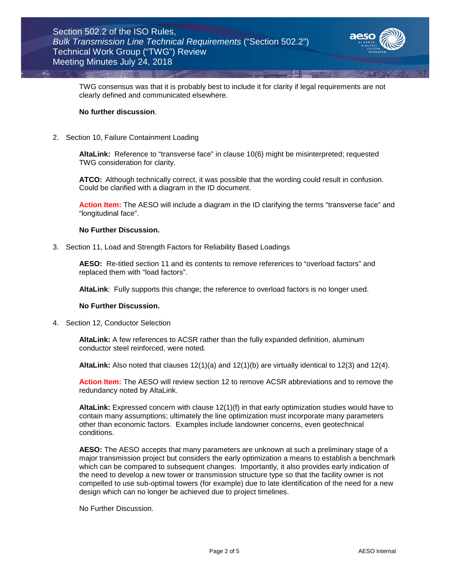

TWG consensus was that it is probably best to include it for clarity if legal requirements are not clearly defined and communicated elsewhere.

#### **No further discussion**.

2. Section 10, Failure Containment Loading

**AltaLink:** Reference to "transverse face" in clause 10(6) might be misinterpreted; requested TWG consideration for clarity.

**ATCO:** Although technically correct, it was possible that the wording could result in confusion. Could be clarified with a diagram in the ID document.

**Action Item:** The AESO will include a diagram in the ID clarifying the terms "transverse face" and "longitudinal face".

### **No Further Discussion.**

3. Section 11, Load and Strength Factors for Reliability Based Loadings

**AESO:** Re-titled section 11 and its contents to remove references to "overload factors" and replaced them with "load factors".

**AltaLink**: Fully supports this change; the reference to overload factors is no longer used.

## **No Further Discussion.**

4. Section 12, Conductor Selection

**AltaLink:** A few references to ACSR rather than the fully expanded definition, aluminum conductor steel reinforced, were noted.

**AltaLink:** Also noted that clauses 12(1)(a) and 12(1)(b) are virtually identical to 12(3) and 12(4).

**Action Item:** The AESO will review section 12 to remove ACSR abbreviations and to remove the redundancy noted by AltaLink.

**AltaLink:** Expressed concern with clause 12(1)(f) in that early optimization studies would have to contain many assumptions; ultimately the line optimization must incorporate many parameters other than economic factors. Examples include landowner concerns, even geotechnical conditions.

**AESO:** The AESO accepts that many parameters are unknown at such a preliminary stage of a major transmission project but considers the early optimization a means to establish a benchmark which can be compared to subsequent changes. Importantly, it also provides early indication of the need to develop a new tower or transmission structure type so that the facility owner is not compelled to use sub-optimal towers (for example) due to late identification of the need for a new design which can no longer be achieved due to project timelines.

No Further Discussion.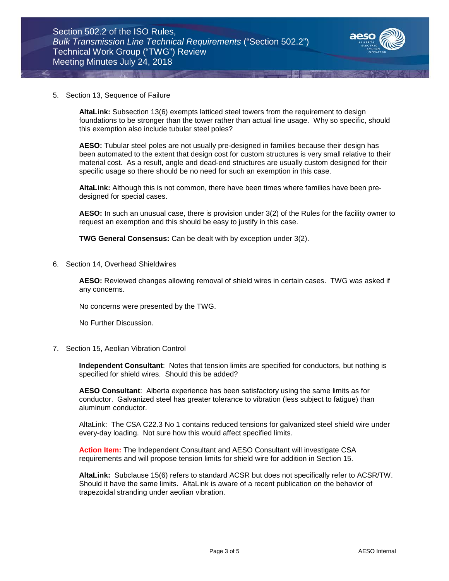

#### 5. Section 13, Sequence of Failure

**AltaLink:** Subsection 13(6) exempts latticed steel towers from the requirement to design foundations to be stronger than the tower rather than actual line usage. Why so specific, should this exemption also include tubular steel poles?

**AESO:** Tubular steel poles are not usually pre-designed in families because their design has been automated to the extent that design cost for custom structures is very small relative to their material cost. As a result, angle and dead-end structures are usually custom designed for their specific usage so there should be no need for such an exemption in this case.

**AltaLink:** Although this is not common, there have been times where families have been predesigned for special cases.

**AESO:** In such an unusual case, there is provision under 3(2) of the Rules for the facility owner to request an exemption and this should be easy to justify in this case.

**TWG General Consensus:** Can be dealt with by exception under 3(2).

6. Section 14, Overhead Shieldwires

**AESO:** Reviewed changes allowing removal of shield wires in certain cases. TWG was asked if any concerns.

No concerns were presented by the TWG.

No Further Discussion.

7. Section 15, Aeolian Vibration Control

**Independent Consultant**: Notes that tension limits are specified for conductors, but nothing is specified for shield wires. Should this be added?

**AESO Consultant**: Alberta experience has been satisfactory using the same limits as for conductor. Galvanized steel has greater tolerance to vibration (less subject to fatigue) than aluminum conductor.

AltaLink: The CSA C22.3 No 1 contains reduced tensions for galvanized steel shield wire under every-day loading. Not sure how this would affect specified limits.

**Action Item:** The Independent Consultant and AESO Consultant will investigate CSA requirements and will propose tension limits for shield wire for addition in Section 15.

**AltaLink:** Subclause 15(6) refers to standard ACSR but does not specifically refer to ACSR/TW. Should it have the same limits. AltaLink is aware of a recent publication on the behavior of trapezoidal stranding under aeolian vibration.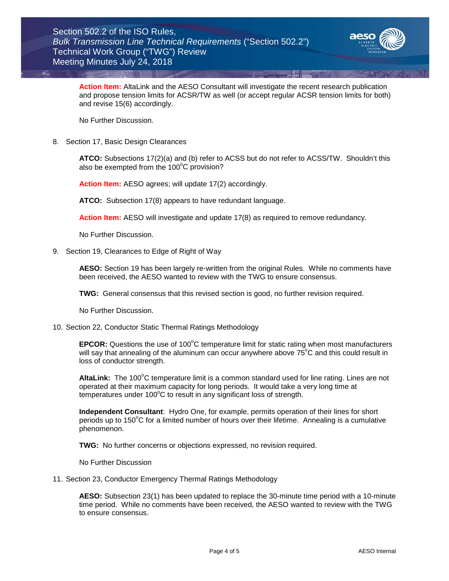

**Action Item:** AltaLink and the AESO Consultant will investigate the recent research publication and propose tension limits for ACSR/TW as well (or accept regular ACSR tension limits for both) and revise 15(6) accordingly.

No Further Discussion.

8. Section 17, Basic Design Clearances

**ATCO:** Subsections 17(2)(a) and (b) refer to ACSS but do not refer to ACSS/TW. Shouldn't this also be exempted from the  $100^{\circ}$ C provision?

**Action Item:** AESO agrees; will update 17(2) accordingly.

**ATCO:** Subsection 17(8) appears to have redundant language.

**Action Item:** AESO will investigate and update 17(8) as required to remove redundancy.

No Further Discussion.

9. Section 19, Clearances to Edge of Right of Way

**AESO:** Section 19 has been largely re-written from the original Rules. While no comments have been received, the AESO wanted to review with the TWG to ensure consensus.

**TWG:** General consensus that this revised section is good, no further revision required.

No Further Discussion.

10. Section 22, Conductor Static Thermal Ratings Methodology

EPCOR: Questions the use of 100°C temperature limit for static rating when most manufacturers will say that annealing of the aluminum can occur anywhere above  $75^{\circ}$ C and this could result in loss of conductor strength.

AltaLink: The 100°C temperature limit is a common standard used for line rating. Lines are not operated at their maximum capacity for long periods. It would take a very long time at temperatures under 100°C to result in any significant loss of strength.

**Independent Consultant**: Hydro One, for example, permits operation of their lines for short periods up to 150 $\mathrm{^{\circ}C}$  for a limited number of hours over their lifetime. Annealing is a cumulative phenomenon.

**TWG:** No further concerns or objections expressed, no revision required.

No Further Discussion

11. Section 23, Conductor Emergency Thermal Ratings Methodology

**AESO:** Subsection 23(1) has been updated to replace the 30-minute time period with a 10-minute time period. While no comments have been received, the AESO wanted to review with the TWG to ensure consensus.